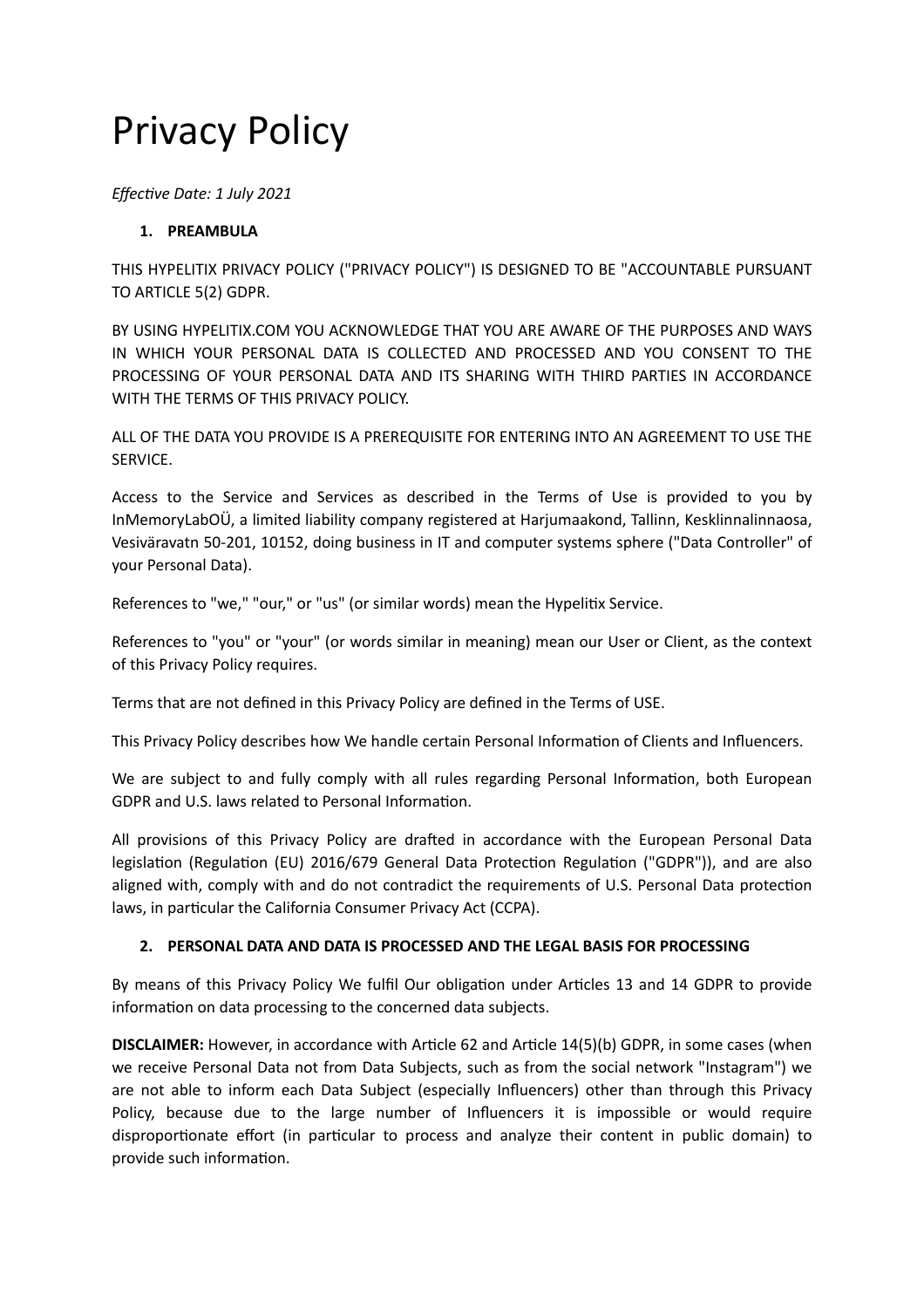# Privacy Policy

*Effective Date: 1 July 2021*

## **1. PREAMBULA**

THIS HYPELITIX PRIVACY POLICY ("PRIVACY POLICY") IS DESIGNED TO BE "ACCOUNTABLE PURSUANT TO ARTICLE 5(2) GDPR.

BY USING HYPELITIX.COM YOU ACKNOWLEDGE THAT YOU ARE AWARE OF THE PURPOSES AND WAYS IN WHICH YOUR PERSONAL DATA IS COLLECTED AND PROCESSED AND YOU CONSENT TO THE PROCESSING OF YOUR PERSONAL DATA AND ITS SHARING WITH THIRD PARTIES IN ACCORDANCE WITH THE TERMS OF THIS PRIVACY POLICY.

ALL OF THE DATA YOU PROVIDE IS A PREREQUISITE FOR ENTERING INTO AN AGREEMENT TO USE THE SERVICE.

Access to the Service and Services as described in the Terms of Use is provided to you by InMemoryLabOÜ, a limited liability company registered at Harjumaakond, Tallinn, Kesklinnalinnaosa, Vesiväravatn 50-201, 10152, doing business in IT and computer systems sphere ("Data Controller" of your Personal Data).

References to "we," "our," or "us" (or similar words) mean the Hypelitix Service.

References to "you" or "your" (or words similar in meaning) mean our User or Client, as the context of this Privacy Policy requires.

Terms that are not defined in this Privacy Policy are defined in the Terms of USE.

This Privacy Policy describes how We handle certain Personal Information of Clients and Influencers.

We are subject to and fully comply with all rules regarding Personal Information, both European GDPR and U.S. laws related to Personal Information.

All provisions of this Privacy Policy are drafted in accordance with the European Personal Data legislation (Regulation (EU) 2016/679 General Data Protection Regulation ("GDPR")), and are also aligned with, comply with and do not contradict the requirements of U.S. Personal Data protection laws, in particular the California Consumer Privacy Act (CCPA).

## **2. PERSONAL DATA AND DATA IS PROCESSED AND THE LEGAL BASIS FOR PROCESSING**

By means of this Privacy Policy We fulfil Our obligation under Articles 13 and 14 GDPR to provide information on data processing to the concerned data subjects.

**DISCLAIMER:** However, in accordance with Article 62 and Article 14(5)(b) GDPR, in some cases (when we receive Personal Data not from Data Subjects, such as from the social network "Instagram") we are not able to inform each Data Subject (especially Influencers) other than through this Privacy Policy, because due to the large number of Influencers it is impossible or would require disproportionate effort (in particular to process and analyze their content in public domain) to provide such information.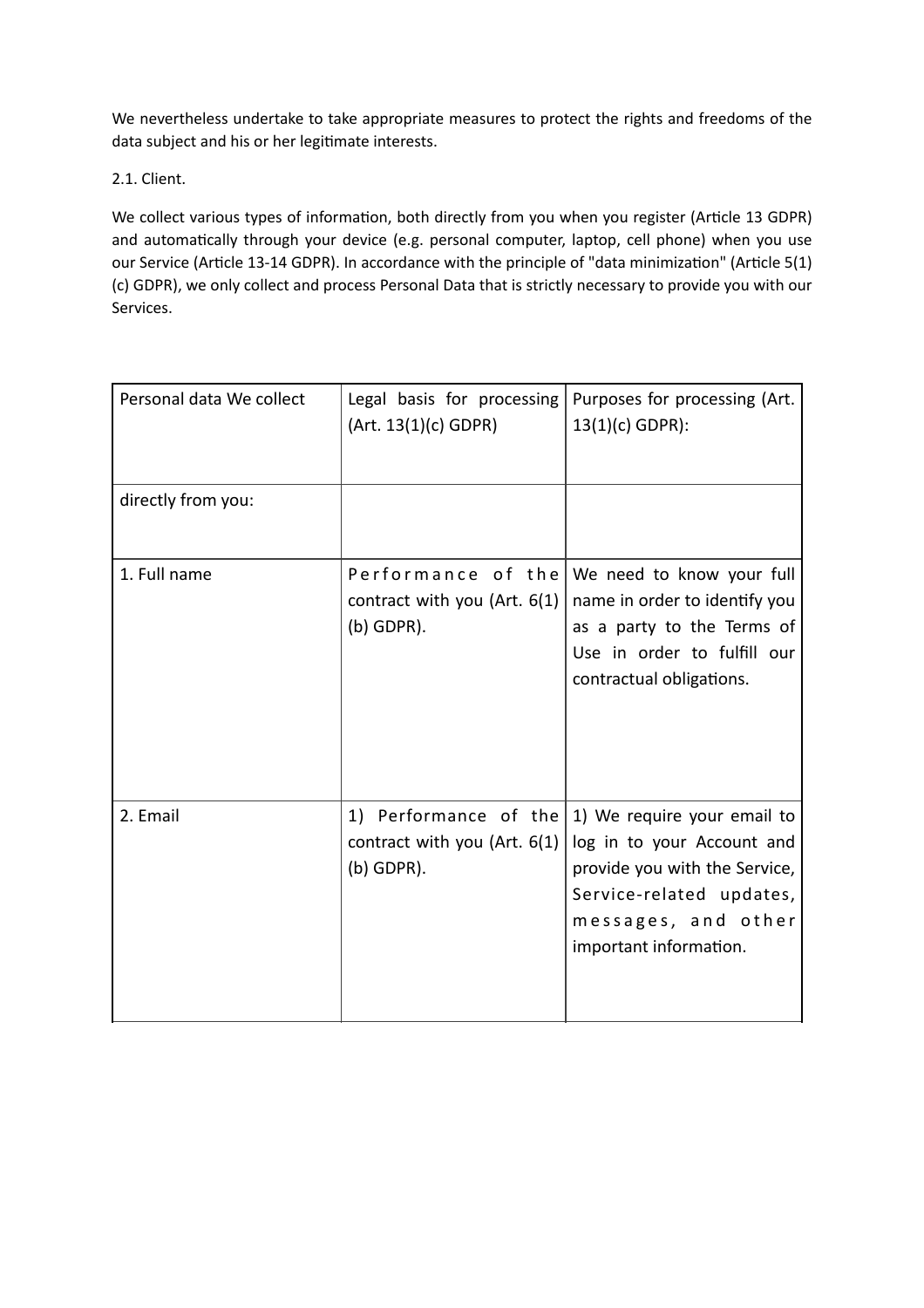We nevertheless undertake to take appropriate measures to protect the rights and freedoms of the data subject and his or her legitimate interests.

2.1. Client.

We collect various types of information, both directly from you when you register (Article 13 GDPR) and automatically through your device (e.g. personal computer, laptop, cell phone) when you use our Service (Article 13-14 GDPR). In accordance with the principle of "data minimization" (Article 5(1) (c) GDPR), we only collect and process Personal Data that is strictly necessary to provide you with our Services.

| Personal data We collect | Legal basis for processing<br>(Art. 13(1)(c) GDPR)                    | Purposes for processing (Art.<br>$13(1)(c)$ GDPR):                                                                                                                      |
|--------------------------|-----------------------------------------------------------------------|-------------------------------------------------------------------------------------------------------------------------------------------------------------------------|
| directly from you:       |                                                                       |                                                                                                                                                                         |
| 1. Full name             | Performance of the<br>contract with you (Art. $6(1)$<br>$(b)$ GDPR).  | We need to know your full<br>name in order to identify you<br>as a party to the Terms of<br>Use in order to fulfill our<br>contractual obligations.                     |
| 2. Email                 | 1) Performance of the<br>contract with you (Art. 6(1)<br>$(b)$ GDPR). | 1) We require your email to<br>log in to your Account and<br>provide you with the Service,<br>Service-related updates,<br>messages, and other<br>important information. |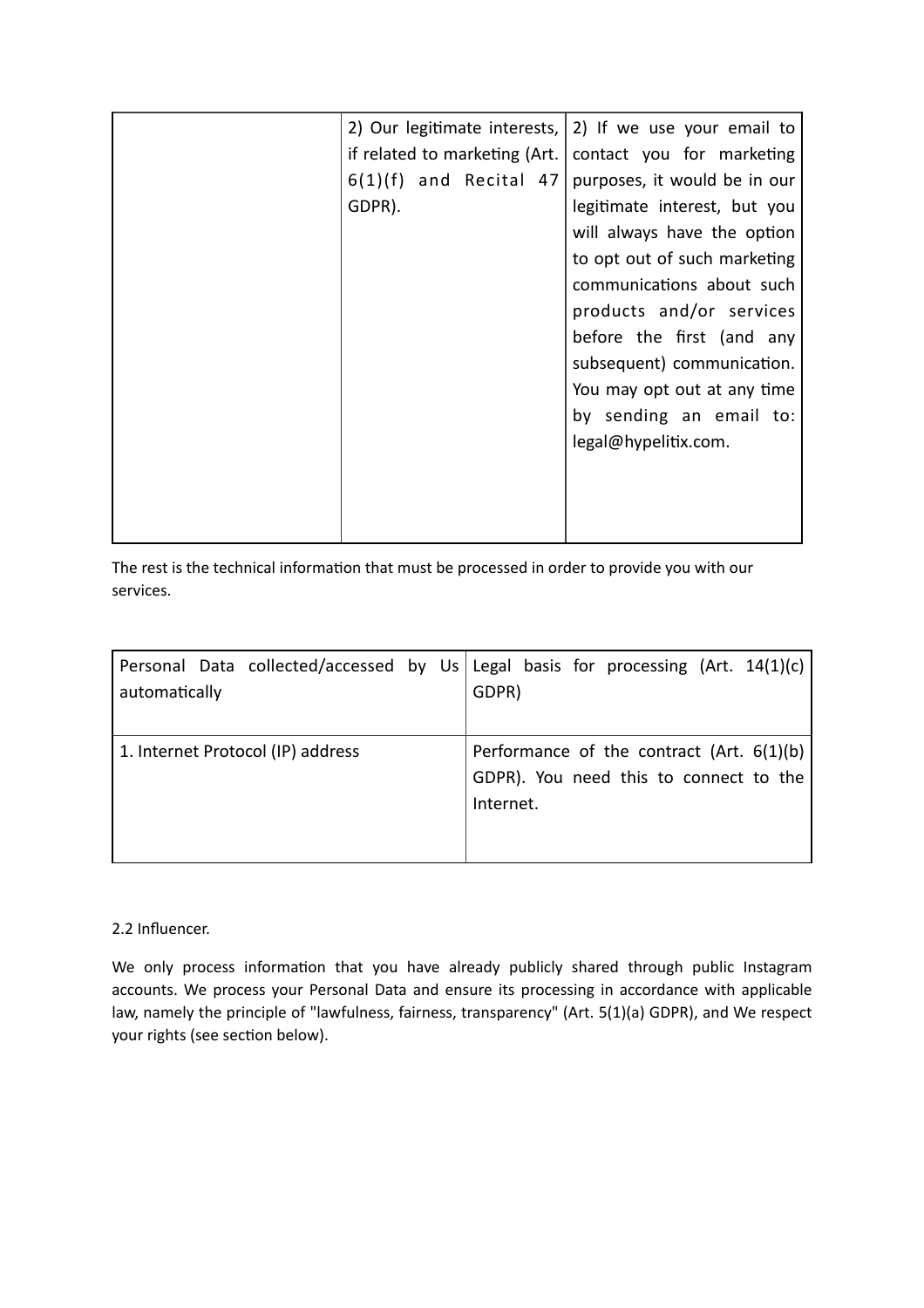|         |                               | 2) Our legitimate interests, $ 2 $ If we use your email to |
|---------|-------------------------------|------------------------------------------------------------|
|         | if related to marketing (Art. | contact you for marketing                                  |
| 6(1)(f) | and Recital 47                | purposes, it would be in our                               |
| GDPR).  |                               | legitimate interest, but you                               |
|         |                               | will always have the option                                |
|         |                               | to opt out of such marketing                               |
|         |                               | communications about such                                  |
|         |                               | products and/or services                                   |
|         |                               | before the first (and any                                  |
|         |                               | subsequent) communication.                                 |
|         |                               | You may opt out at any time                                |
|         |                               | by sending an email to:                                    |
|         |                               | legal@hypelitix.com.                                       |
|         |                               |                                                            |
|         |                               |                                                            |
|         |                               |                                                            |

The rest is the technical information that must be processed in order to provide you with our services.

| Personal Data collected/accessed by Us Legal basis for processing (Art. $14(1)(c)$ )<br>automatically | GDPR)                                                                                                |
|-------------------------------------------------------------------------------------------------------|------------------------------------------------------------------------------------------------------|
| 1. Internet Protocol (IP) address                                                                     | Performance of the contract (Art. $6(1)(b)$ )<br>GDPR). You need this to connect to the<br>Internet. |

## 2.2 Influencer.

We only process information that you have already publicly shared through public Instagram accounts. We process your Personal Data and ensure its processing in accordance with applicable law, namely the principle of "lawfulness, fairness, transparency" (Art. 5(1)(a) GDPR), and We respect your rights (see section below).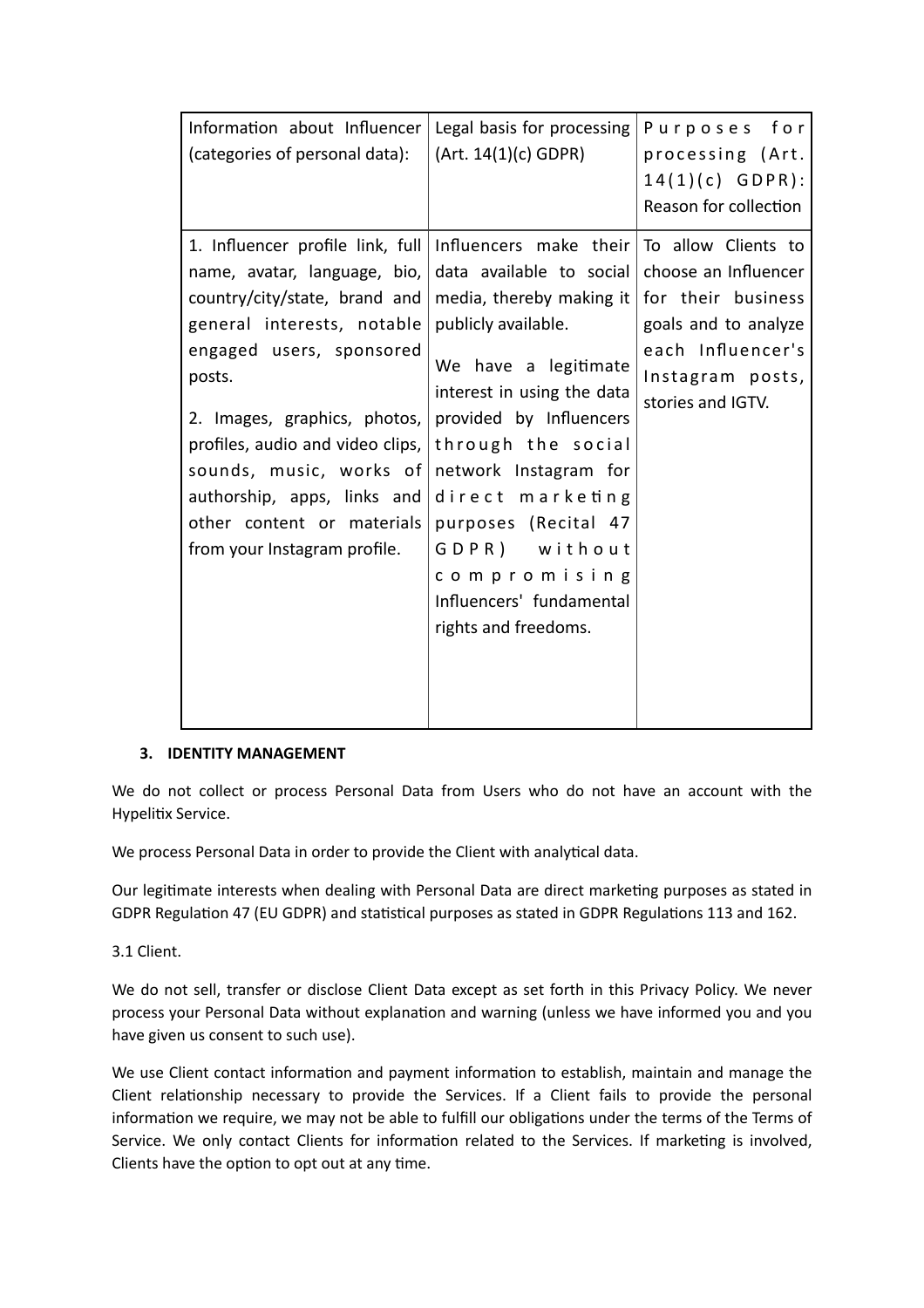| Information about Influencer                                                                                                                                                                                                                                                                                                                                      | Legal basis for processing                                                                                                                                                                                                                                                                                                                                                                                                       | Purposes for                                                                                               |
|-------------------------------------------------------------------------------------------------------------------------------------------------------------------------------------------------------------------------------------------------------------------------------------------------------------------------------------------------------------------|----------------------------------------------------------------------------------------------------------------------------------------------------------------------------------------------------------------------------------------------------------------------------------------------------------------------------------------------------------------------------------------------------------------------------------|------------------------------------------------------------------------------------------------------------|
| (categories of personal data):                                                                                                                                                                                                                                                                                                                                    | (Art. 14(1)(c) GDPR)                                                                                                                                                                                                                                                                                                                                                                                                             | processing (Art.<br>$14(1)(c)$ GDPR):<br>Reason for collection                                             |
| 1. Influencer profile link, full<br>name, avatar, language, bio,<br>country/city/state, brand and<br>general interests, notable<br>engaged users, sponsored<br>posts.<br>2. Images, graphics, photos,<br>profiles, audio and video clips,<br>sounds, music, works of<br>authorship, apps, links and<br>other content or materials<br>from your Instagram profile. | Influencers make their $\overline{p}$ To allow Clients to<br>data available to social<br>media, thereby making it $ $ for their business<br>publicly available.<br>We have a legitimate<br>interest in using the data<br>provided by Influencers<br>through the social<br>network Instagram for<br>direct marketing<br>purposes (Recital 47<br>GDPR) without<br>compromising<br>Influencers' fundamental<br>rights and freedoms. | choose an Influencer<br>goals and to analyze<br>each Influencer's<br>Instagram posts,<br>stories and IGTV. |

#### **3. IDENTITY MANAGEMENT**

We do not collect or process Personal Data from Users who do not have an account with the Hypelitix Service.

We process Personal Data in order to provide the Client with analytical data.

Our legitimate interests when dealing with Personal Data are direct marketing purposes as stated in GDPR Regulation 47 (EU GDPR) and statistical purposes as stated in GDPR Regulations 113 and 162.

3.1 Client.

We do not sell, transfer or disclose Client Data except as set forth in this Privacy Policy. We never process your Personal Data without explanation and warning (unless we have informed you and you have given us consent to such use).

We use Client contact information and payment information to establish, maintain and manage the Client relationship necessary to provide the Services. If a Client fails to provide the personal information we require, we may not be able to fulfill our obligations under the terms of the Terms of Service. We only contact Clients for information related to the Services. If marketing is involved, Clients have the option to opt out at any time.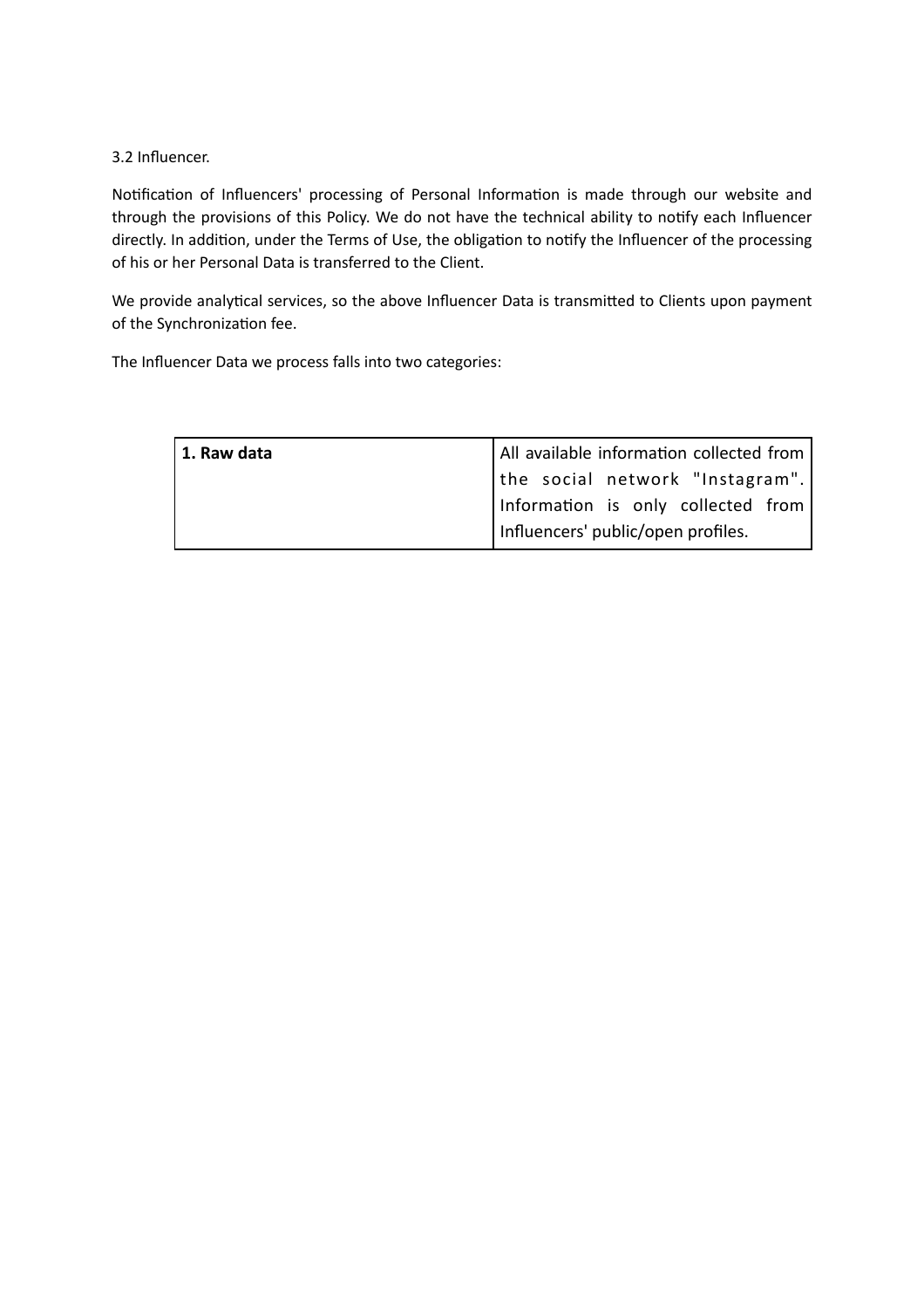#### 3.2 Influencer.

Notification of Influencers' processing of Personal Information is made through our website and through the provisions of this Policy. We do not have the technical ability to notify each Influencer directly. In addition, under the Terms of Use, the obligation to notify the Influencer of the processing of his or her Personal Data is transferred to the Client.

We provide analytical services, so the above Influencer Data is transmitted to Clients upon payment of the Synchronization fee.

The Influencer Data we process falls into two categories:

| 1. Raw data | All available information collected from |
|-------------|------------------------------------------|
|             | the social network "Instagram".          |
|             | Information is only collected from       |
|             | Influencers' public/open profiles.       |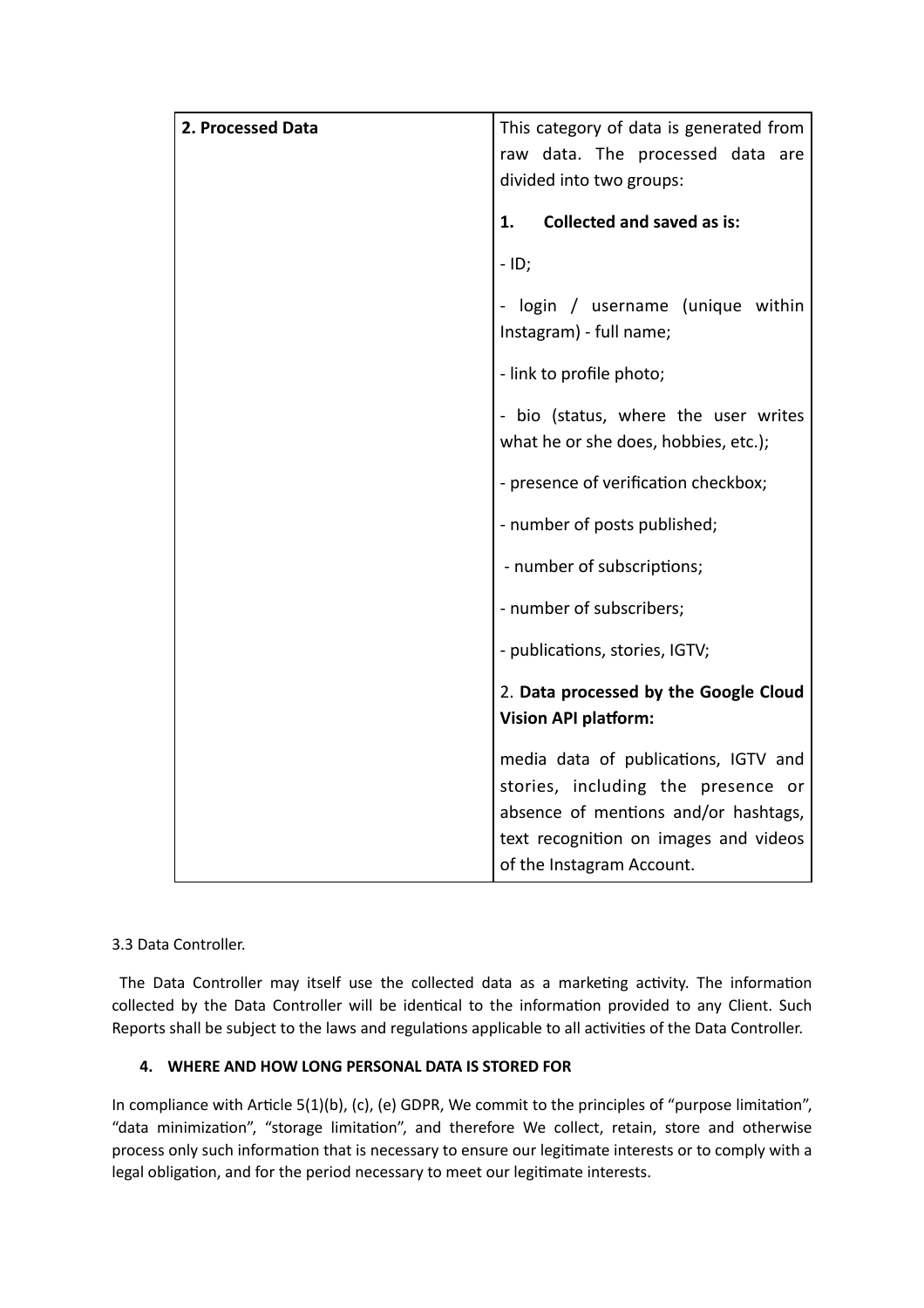| 2. Processed Data | This category of data is generated from<br>raw data. The processed data are<br>divided into two groups:                                                                                  |
|-------------------|------------------------------------------------------------------------------------------------------------------------------------------------------------------------------------------|
|                   | <b>Collected and saved as is:</b><br>1.                                                                                                                                                  |
|                   | $-$ ID;                                                                                                                                                                                  |
|                   | - login / username (unique within<br>Instagram) - full name;                                                                                                                             |
|                   | - link to profile photo;                                                                                                                                                                 |
|                   | - bio (status, where the user writes<br>what he or she does, hobbies, etc.);                                                                                                             |
|                   | - presence of verification checkbox;                                                                                                                                                     |
|                   | - number of posts published;                                                                                                                                                             |
|                   | - number of subscriptions;                                                                                                                                                               |
|                   | - number of subscribers;                                                                                                                                                                 |
|                   | - publications, stories, IGTV;                                                                                                                                                           |
|                   | 2. Data processed by the Google Cloud<br><b>Vision API platform:</b>                                                                                                                     |
|                   | media data of publications, IGTV and<br>stories, including the presence or<br>absence of mentions and/or hashtags,<br>text recognition on images and videos<br>of the Instagram Account. |

# 3.3 Data Controller.

 The Data Controller may itself use the collected data as a marketing activity. The information collected by the Data Controller will be identical to the information provided to any Client. Such Reports shall be subject to the laws and regulations applicable to all activities of the Data Controller.

## **4. WHERE AND HOW LONG PERSONAL DATA IS STORED FOR**

In compliance with Article 5(1)(b), (c), (e) GDPR, We commit to the principles of "purpose limitation", "data minimization", "storage limitation", and therefore We collect, retain, store and otherwise process only such information that is necessary to ensure our legitimate interests or to comply with a legal obligation, and for the period necessary to meet our legitimate interests.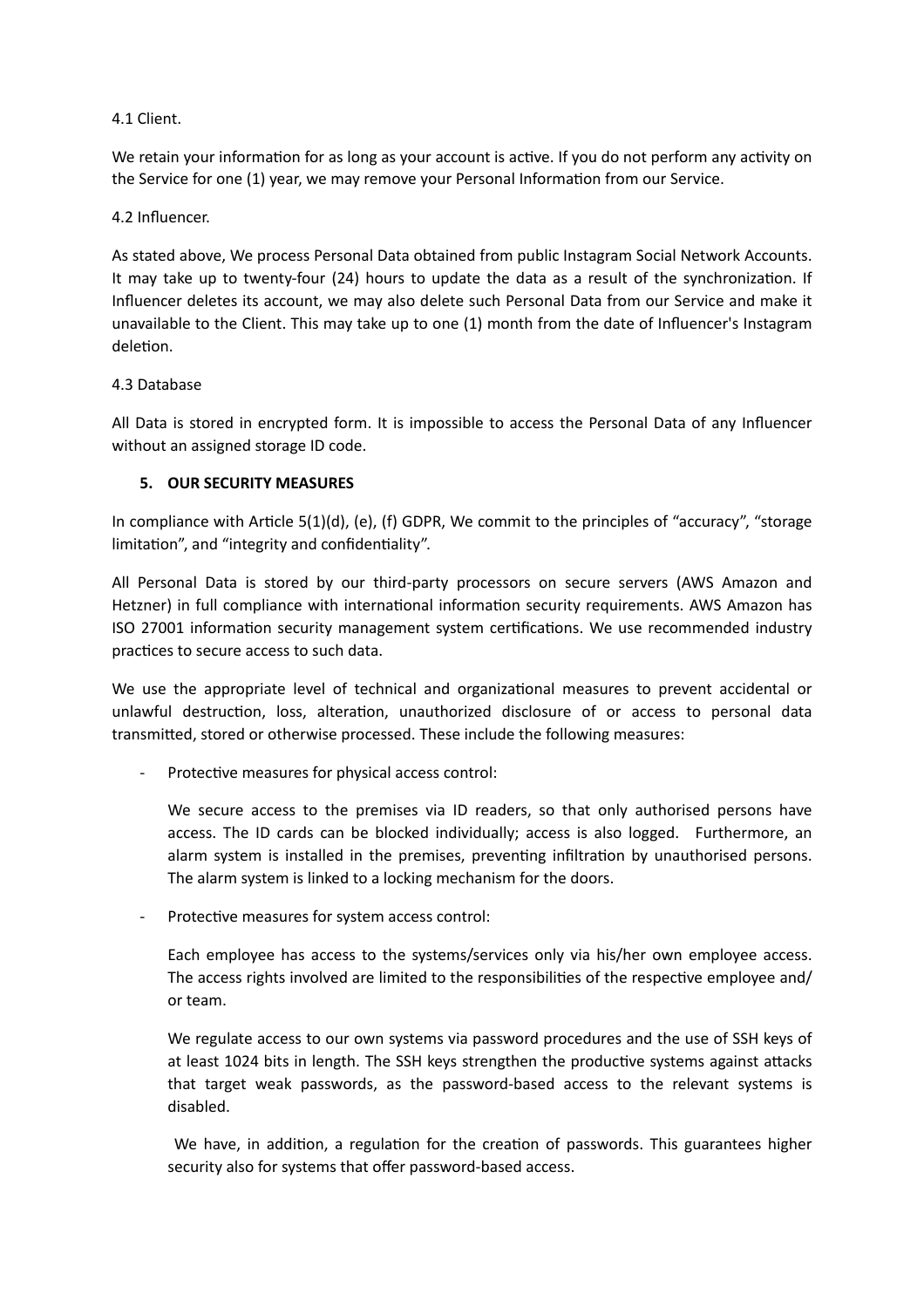4.1 Client.

We retain your information for as long as your account is active. If you do not perform any activity on the Service for one (1) year, we may remove your Personal Information from our Service.

4.2 Influencer.

As stated above, We process Personal Data obtained from public Instagram Social Network Accounts. It may take up to twenty-four (24) hours to update the data as a result of the synchronization. If Influencer deletes its account, we may also delete such Personal Data from our Service and make it unavailable to the Client. This may take up to one (1) month from the date of Influencer's Instagram deletion.

#### 4.3 Database

All Data is stored in encrypted form. It is impossible to access the Personal Data of any Influencer without an assigned storage ID code.

#### **5. OUR SECURITY MEASURES**

In compliance with Article 5(1)(d), (e), (f) GDPR, We commit to the principles of "accuracy", "storage limitation", and "integrity and confidentiality".

All Personal Data is stored by our third-party processors on secure servers (AWS Amazon and Hetzner) in full compliance with international information security requirements. AWS Amazon has ISO 27001 information security management system certifications. We use recommended industry practices to secure access to such data.

We use the appropriate level of technical and organizational measures to prevent accidental or unlawful destruction, loss, alteration, unauthorized disclosure of or access to personal data transmitted, stored or otherwise processed. These include the following measures:

- Protective measures for physical access control:

We secure access to the premises via ID readers, so that only authorised persons have access. The ID cards can be blocked individually; access is also logged. Furthermore, an alarm system is installed in the premises, preventing infiltration by unauthorised persons. The alarm system is linked to a locking mechanism for the doors.

Protective measures for system access control:

Each employee has access to the systems/services only via his/her own employee access. The access rights involved are limited to the responsibilities of the respective employee and/ or team.

We regulate access to our own systems via password procedures and the use of SSH keys of at least 1024 bits in length. The SSH keys strengthen the productive systems against attacks that target weak passwords, as the password-based access to the relevant systems is disabled.

 We have, in addition, a regulation for the creation of passwords. This guarantees higher security also for systems that offer password-based access.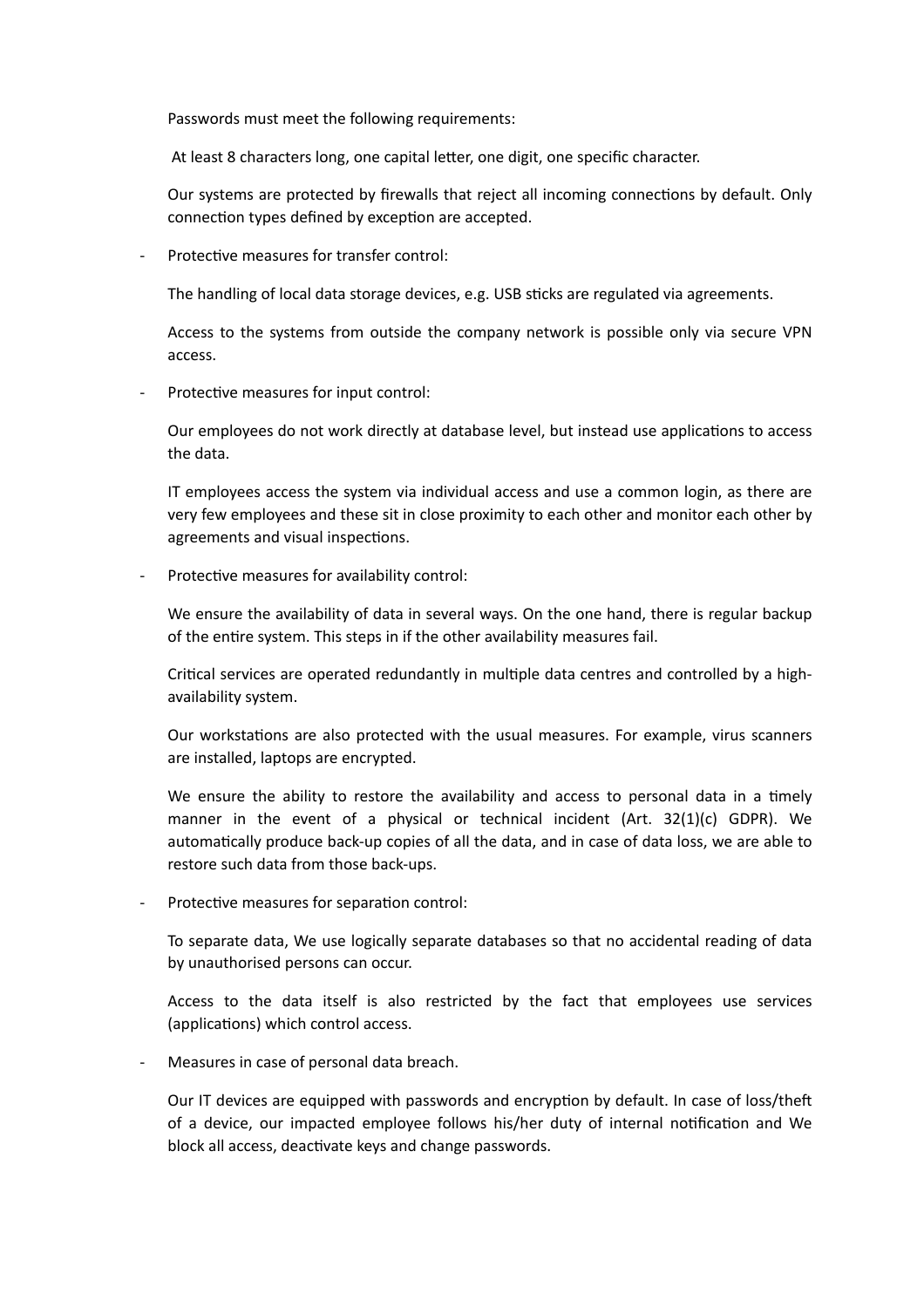Passwords must meet the following requirements:

At least 8 characters long, one capital letter, one digit, one specific character.

Our systems are protected by firewalls that reject all incoming connections by default. Only connection types defined by exception are accepted.

Protective measures for transfer control:

The handling of local data storage devices, e.g. USB sticks are regulated via agreements.

Access to the systems from outside the company network is possible only via secure VPN access.

Protective measures for input control:

Our employees do not work directly at database level, but instead use applications to access the data.

IT employees access the system via individual access and use a common login, as there are very few employees and these sit in close proximity to each other and monitor each other by agreements and visual inspections.

Protective measures for availability control:

We ensure the availability of data in several ways. On the one hand, there is regular backup of the entire system. This steps in if the other availability measures fail.

Critical services are operated redundantly in multiple data centres and controlled by a highavailability system.

Our workstations are also protected with the usual measures. For example, virus scanners are installed, laptops are encrypted.

We ensure the ability to restore the availability and access to personal data in a timely manner in the event of a physical or technical incident (Art. 32(1)(c) GDPR). We automatically produce back-up copies of all the data, and in case of data loss, we are able to restore such data from those back-ups.

Protective measures for separation control:

To separate data, We use logically separate databases so that no accidental reading of data by unauthorised persons can occur.

Access to the data itself is also restricted by the fact that employees use services (applications) which control access.

Measures in case of personal data breach.

Our IT devices are equipped with passwords and encryption by default. In case of loss/theft of a device, our impacted employee follows his/her duty of internal notification and We block all access, deactivate keys and change passwords.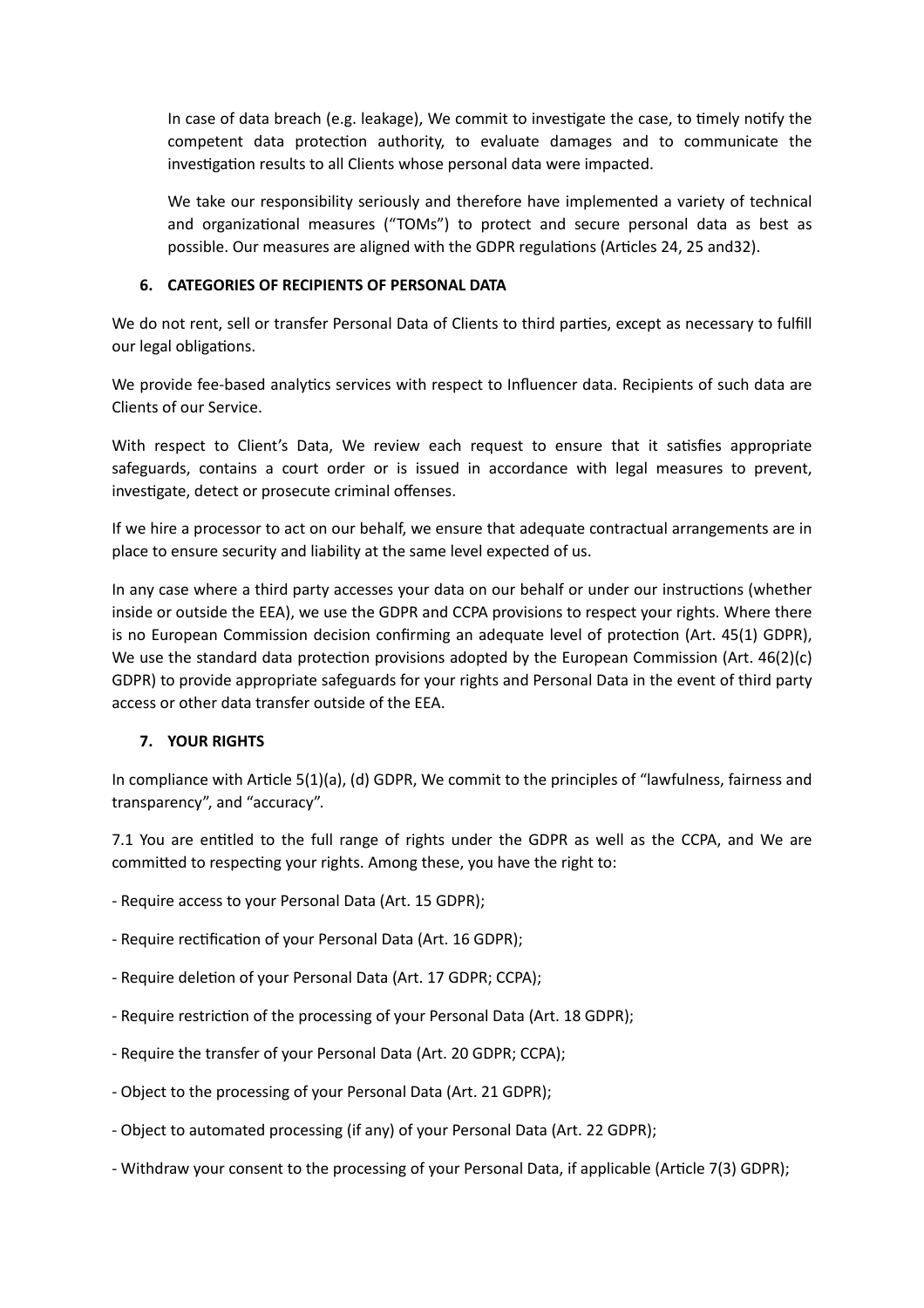In case of data breach (e.g. leakage), We commit to investigate the case, to timely notify the competent data protection authority, to evaluate damages and to communicate the investigation results to all Clients whose personal data were impacted.

We take our responsibility seriously and therefore have implemented a variety of technical and organizational measures ("TOMs") to protect and secure personal data as best as possible. Our measures are aligned with the GDPR regulations (Articles 24, 25 and32).

#### **6. CATEGORIES OF RECIPIENTS OF PERSONAL DATA**

We do not rent, sell or transfer Personal Data of Clients to third parties, except as necessary to fulfill our legal obligations.

We provide fee-based analytics services with respect to Influencer data. Recipients of such data are Clients of our Service.

With respect to Client's Data, We review each request to ensure that it satisfies appropriate safeguards, contains a court order or is issued in accordance with legal measures to prevent, investigate, detect or prosecute criminal offenses.

If we hire a processor to act on our behalf, we ensure that adequate contractual arrangements are in place to ensure security and liability at the same level expected of us.

In any case where a third party accesses your data on our behalf or under our instructions (whether inside or outside the EEA), we use the GDPR and CCPA provisions to respect your rights. Where there is no European Commission decision confirming an adequate level of protection (Art. 45(1) GDPR), We use the standard data protection provisions adopted by the European Commission (Art. 46(2)(c) GDPR) to provide appropriate safeguards for your rights and Personal Data in the event of third party access or other data transfer outside of the EEA.

## **7. YOUR RIGHTS**

In compliance with Article 5(1)(a), (d) GDPR, We commit to the principles of "lawfulness, fairness and transparency", and "accuracy".

7.1 You are entitled to the full range of rights under the GDPR as well as the CCPA, and We are committed to respecting your rights. Among these, you have the right to:

- Require access to your Personal Data (Art. 15 GDPR);

- Require rectification of your Personal Data (Art. 16 GDPR);

- Require deletion of your Personal Data (Art. 17 GDPR; CCPA);

- Require restriction of the processing of your Personal Data (Art. 18 GDPR);

- Require the transfer of your Personal Data (Art. 20 GDPR; CCPA);

- Object to the processing of your Personal Data (Art. 21 GDPR);

- Object to automated processing (if any) of your Personal Data (Art. 22 GDPR);

- Withdraw your consent to the processing of your Personal Data, if applicable (Article 7(3) GDPR);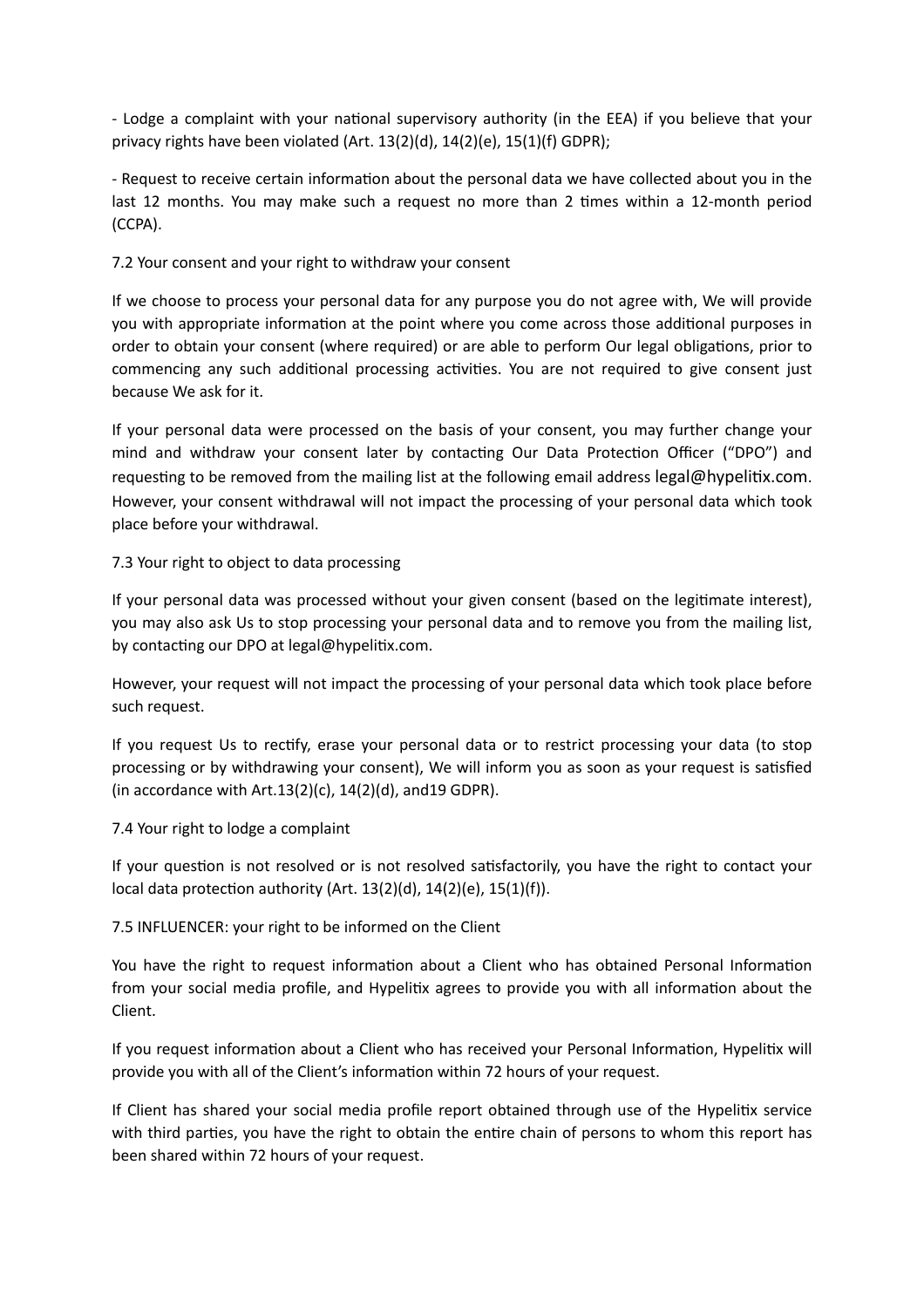- Lodge a complaint with your national supervisory authority (in the EEA) if you believe that your privacy rights have been violated (Art. 13(2)(d), 14(2)(e), 15(1)(f) GDPR);

- Request to receive certain information about the personal data we have collected about you in the last 12 months. You may make such a request no more than 2 times within a 12-month period (CCPA).

#### 7.2 Your consent and your right to withdraw your consent

If we choose to process your personal data for any purpose you do not agree with, We will provide you with appropriate information at the point where you come across those additional purposes in order to obtain your consent (where required) or are able to perform Our legal obligations, prior to commencing any such additional processing activities. You are not required to give consent just because We ask for it.

If your personal data were processed on the basis of your consent, you may further change your mind and withdraw your consent later by contacting Our Data Protection Officer ("DPO") and requesting to be removed from the mailing list at the following email address legal@hypelitix.com. However, your consent withdrawal will not impact the processing of your personal data which took place before your withdrawal.

#### 7.3 Your right to object to data processing

If your personal data was processed without your given consent (based on the legitimate interest), you may also ask Us to stop processing your personal data and to remove you from the mailing list, by contacting our DPO at legal@hypelitix.com.

However, your request will not impact the processing of your personal data which took place before such request.

If you request Us to rectify, erase your personal data or to restrict processing your data (to stop processing or by withdrawing your consent), We will inform you as soon as your request is satisfied (in accordance with Art.13(2)(c), 14(2)(d), and19 GDPR).

#### 7.4 Your right to lodge a complaint

If your question is not resolved or is not resolved satisfactorily, you have the right to contact your local data protection authority (Art. 13(2)(d), 14(2)(e), 15(1)(f)).

#### 7.5 INFLUENCER: your right to be informed on the Client

You have the right to request information about a Client who has obtained Personal Information from your social media profile, and Hypelitix agrees to provide you with all information about the Client.

If you request information about a Client who has received your Personal Information, Hypelitix will provide you with all of the Client's information within 72 hours of your request.

If Client has shared your social media profile report obtained through use of the Hypelitix service with third parties, you have the right to obtain the entire chain of persons to whom this report has been shared within 72 hours of your request.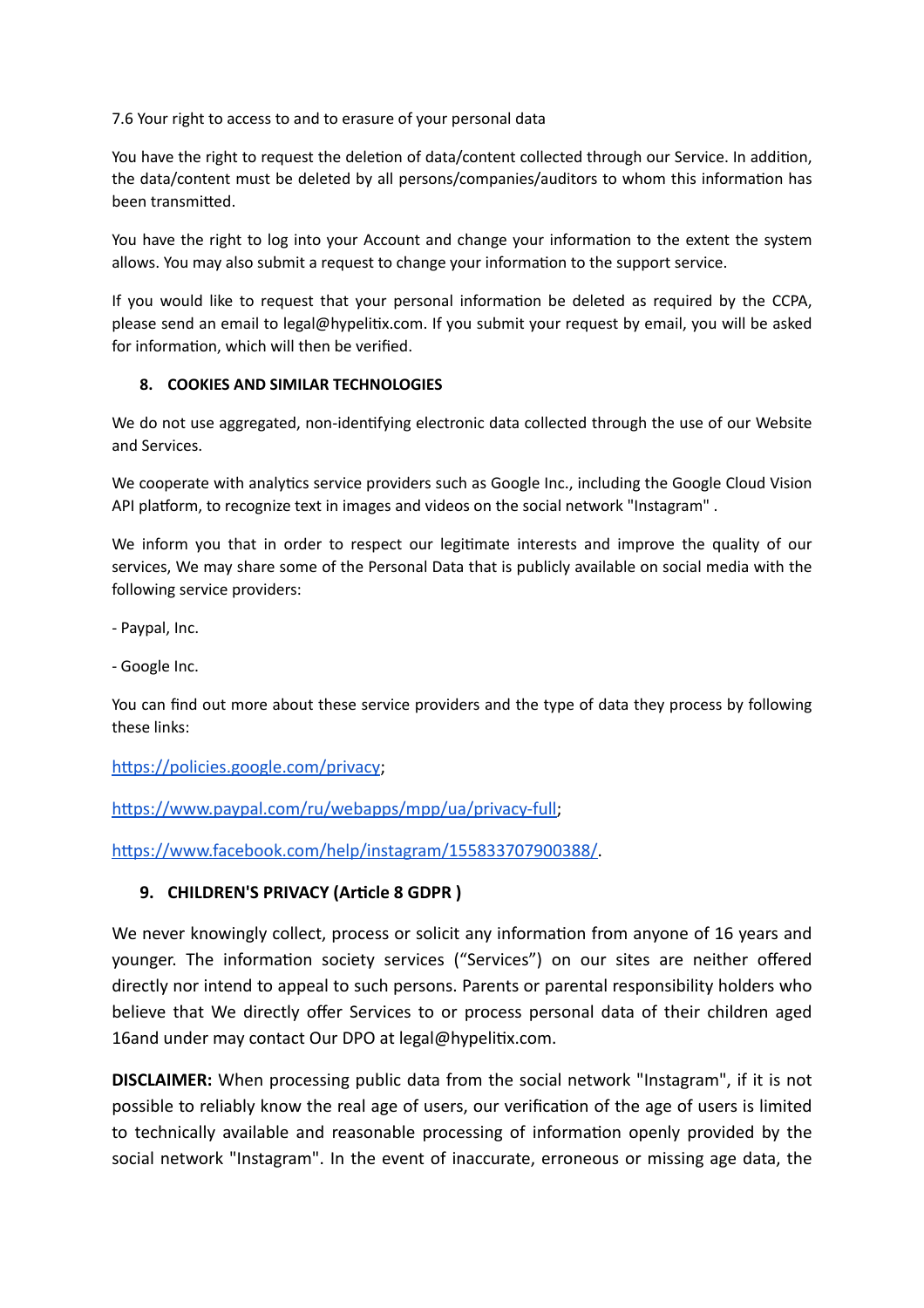7.6 Your right to access to and to erasure of your personal data

You have the right to request the deletion of data/content collected through our Service. In addition, the data/content must be deleted by all persons/companies/auditors to whom this information has been transmitted.

You have the right to log into your Account and change your information to the extent the system allows. You may also submit a request to change your information to the support service.

If you would like to request that your personal information be deleted as required by the CCPA, please send an email to legal@hypelitix.com. If you submit your request by email, you will be asked for information, which will then be verified.

## **8. COOKIES AND SIMILAR TECHNOLOGIES**

We do not use aggregated, non-identifying electronic data collected through the use of our Website and Services.

We cooperate with analytics service providers such as Google Inc., including the Google Cloud Vision API platform, to recognize text in images and videos on the social network "Instagram" .

We inform you that in order to respect our legitimate interests and improve the quality of our services, We may share some of the Personal Data that is publicly available on social media with the following service providers:

- Paypal, Inc.

- Google Inc.

You can find out more about these service providers and the type of data they process by following these links:

[https://policies.google.com/privacy;](https://policies.google.com/privacy)

<https://www.paypal.com/ru/webapps/mpp/ua/privacy-full>;

[https://www.facebook.com/help/instagram/155833707900388/.](https://www.facebook.com/help/instagram/155833707900388/)

# **9. CHILDREN'S PRIVACY (Article 8 GDPR )**

We never knowingly collect, process or solicit any information from anyone of 16 years and younger. The information society services ("Services") on our sites are neither offered directly nor intend to appeal to such persons. Parents or parental responsibility holders who believe that We directly offer Services to or process personal data of their children aged 16and under may contact Our DPO at legal@hypelitix.com.

**DISCLAIMER:** When processing public data from the social network "Instagram", if it is not possible to reliably know the real age of users, our verification of the age of users is limited to technically available and reasonable processing of information openly provided by the social network "Instagram". In the event of inaccurate, erroneous or missing age data, the